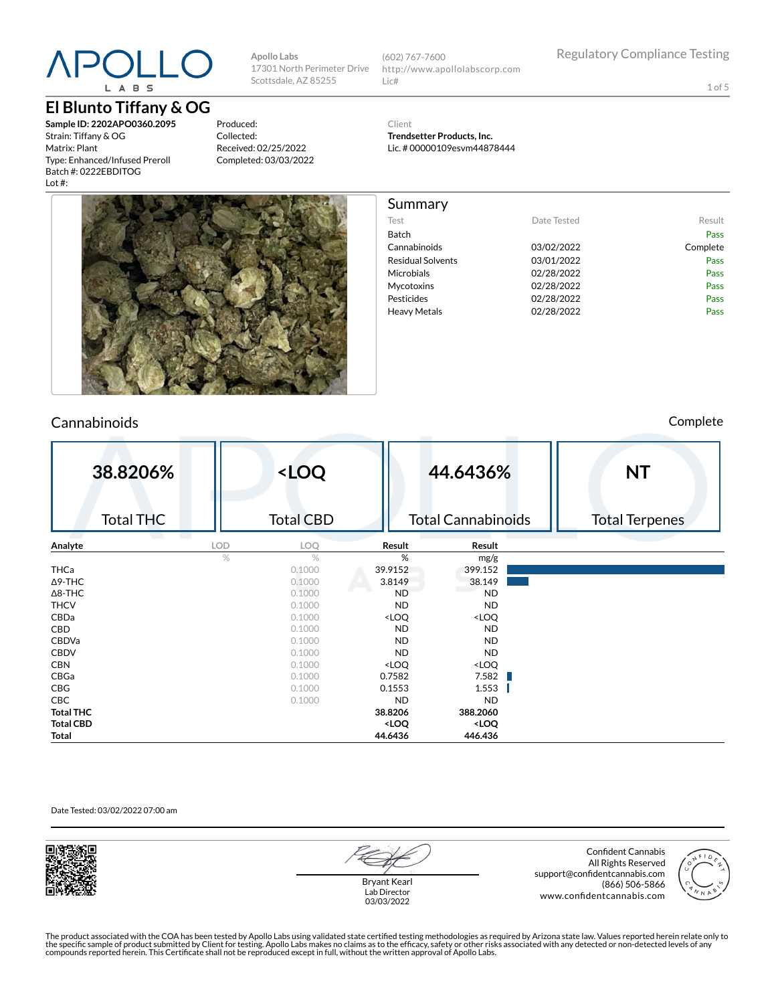# $P()$ L A B S

## **El Blunto Tiffany & OG**

**Sample ID: 2202APO0360.2095** Strain: Tiffany & OG Matrix: Plant Type: Enhanced/Infused Preroll Batch #: 0222EBDITOG Lot #:

Produced: Collected: Received: 02/25/2022 Completed: 03/03/2022

**Apollo Labs**

Scottsdale, AZ 85255

17301 North Perimeter Drive (602) 767-7600 http://www.apollolabscorp.com Lic#

1 of 5

Client **Trendsetter Products, Inc.**

Summary

Lic. # 00000109esvm44878444

Test **Date Tested** Result Batch Pass Cannabinoids 03/02/2022 Complete Residual Solvents **03/01/2022** Pass Microbials **02/28/2022** Pass Mycotoxins 02/28/2022 Pass Pesticides **Data Pass** 02/28/2022 **Pass** Pass Heavy Metals **D2/28/2022** Pass



# Cannabinoids Complete

| 38.8206%         |            | <loq< th=""><th></th><th>44.6436%</th><th><b>NT</b></th></loq<> |                                                          | 44.6436%                     | <b>NT</b>             |
|------------------|------------|-----------------------------------------------------------------|----------------------------------------------------------|------------------------------|-----------------------|
| <b>Total THC</b> |            | <b>Total CBD</b>                                                |                                                          | <b>Total Cannabinoids</b>    | <b>Total Terpenes</b> |
| Analyte          | <b>LOD</b> | LOQ                                                             | Result                                                   | Result                       |                       |
|                  | %          | $\%$                                                            | %                                                        | mg/g                         |                       |
| THCa             |            | 0.1000                                                          | 39.9152                                                  | 399.152                      |                       |
| $\Delta$ 9-THC   |            | 0.1000                                                          | 3.8149                                                   | 38.149                       |                       |
| $\Delta$ 8-THC   |            | 0.1000                                                          | <b>ND</b>                                                | <b>ND</b>                    |                       |
| <b>THCV</b>      |            | 0.1000                                                          | <b>ND</b>                                                | <b>ND</b>                    |                       |
| CBDa             |            | 0.1000                                                          | <loq< th=""><th><loq< th=""><th></th></loq<></th></loq<> | <loq< th=""><th></th></loq<> |                       |
| CBD              |            | 0.1000                                                          | <b>ND</b>                                                | <b>ND</b>                    |                       |
| <b>CBDVa</b>     |            | 0.1000                                                          | <b>ND</b>                                                | <b>ND</b>                    |                       |
| <b>CBDV</b>      |            | 0.1000                                                          | <b>ND</b>                                                | <b>ND</b>                    |                       |
| <b>CBN</b>       |            | 0.1000                                                          | <loq< th=""><th><loq< th=""><th></th></loq<></th></loq<> | <loq< th=""><th></th></loq<> |                       |
| CBGa             |            | 0.1000                                                          | 0.7582                                                   | 7.582<br>H.                  |                       |
| CBG              |            | 0.1000                                                          | 0.1553                                                   | 1.553                        |                       |
| CBC              |            | 0.1000                                                          | <b>ND</b>                                                | <b>ND</b>                    |                       |
| <b>Total THC</b> |            |                                                                 | 38.8206                                                  | 388.2060                     |                       |
| <b>Total CBD</b> |            |                                                                 | <loq< th=""><th><loq< th=""><th></th></loq<></th></loq<> | <loq< th=""><th></th></loq<> |                       |
| Total            |            |                                                                 | 44.6436                                                  | 446.436                      |                       |

#### Date Tested: 03/02/2022 07:00 am



Bryant Kearl Lab Director 03/03/2022

Confident Cannabis All Rights Reserved support@confidentcannabis.com (866) 506-5866 www.confidentcannabis.com



The product associated with the COA has been tested by Apollo Labs using validated state certified testing methodologies as required by Arizona state law. Values reported herein relate only to<br>the specific sample of produc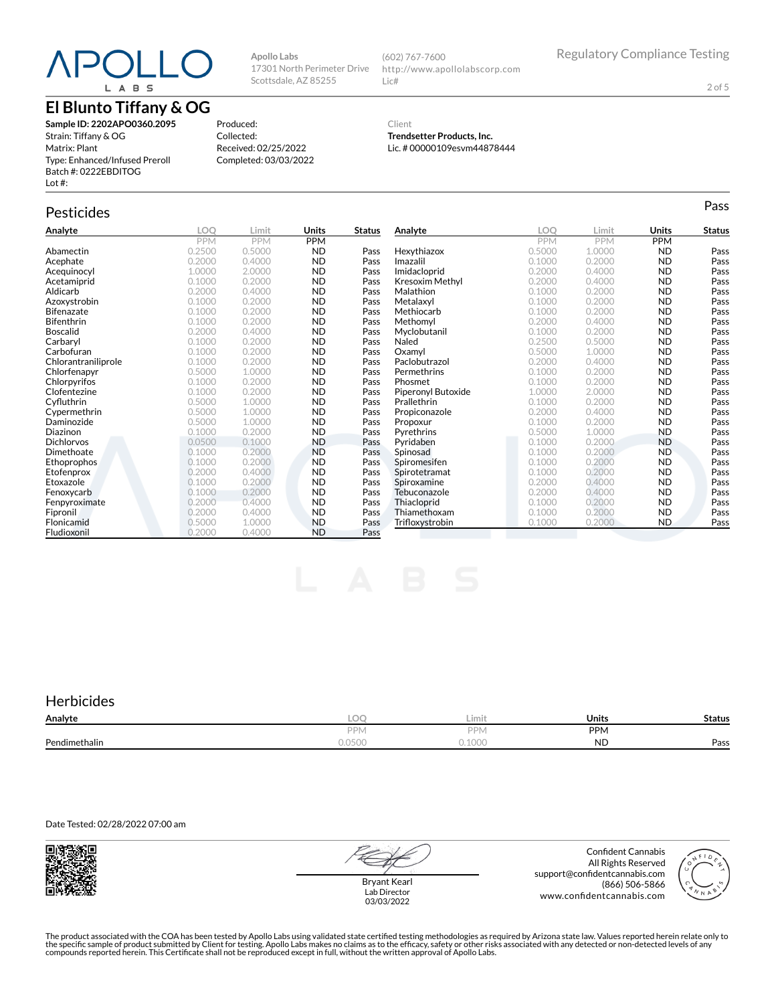# **El Blunto Tiffany & OG**

**Sample ID: 2202APO0360.2095** Strain: Tiffany & OG Matrix: Plant Type: Enhanced/Infused Preroll Batch #: 0222EBDITOG Lot #:

Produced: Collected: Received: 02/25/2022 Completed: 03/03/2022

**Apollo Labs**

17301 North Perimeter Drive Scottsdale, AZ 85255

# Pesticides **Passage of the Contract of Contract Contract of Contract Contract Contract Contract Contract Contract Contract Contract Contract Contract Contract Contract Contract Contract Contract Contract Contract Contract**

| Analyte             | LOQ        | Limit      | <b>Units</b> | <b>Status</b> | Analyte            | <b>LOO</b> | Limit      | Units      | <b>Status</b> |
|---------------------|------------|------------|--------------|---------------|--------------------|------------|------------|------------|---------------|
|                     | <b>PPM</b> | <b>PPM</b> | <b>PPM</b>   |               |                    | <b>PPM</b> | <b>PPM</b> | <b>PPM</b> |               |
| Abamectin           | 0.2500     | 0.5000     | <b>ND</b>    | Pass          | Hexythiazox        | 0.5000     | 1.0000     | <b>ND</b>  | Pass          |
| Acephate            | 0.2000     | 0.4000     | <b>ND</b>    | Pass          | Imazalil           | 0.1000     | 0.2000     | <b>ND</b>  | Pass          |
| Acequinocyl         | 1.0000     | 2.0000     | <b>ND</b>    | Pass          | Imidacloprid       | 0.2000     | 0.4000     | <b>ND</b>  | Pass          |
| Acetamiprid         | 0.1000     | 0.2000     | <b>ND</b>    | Pass          | Kresoxim Methyl    | 0.2000     | 0.4000     | <b>ND</b>  | Pass          |
| Aldicarb            | 0.2000     | 0.4000     | <b>ND</b>    | Pass          | Malathion          | 0.1000     | 0.2000     | <b>ND</b>  | Pass          |
| Azoxystrobin        | 0.1000     | 0.2000     | <b>ND</b>    | Pass          | Metalaxyl          | 0.1000     | 0.2000     | <b>ND</b>  | Pass          |
| <b>Bifenazate</b>   | 0.1000     | 0.2000     | <b>ND</b>    | Pass          | Methiocarb         | 0.1000     | 0.2000     | <b>ND</b>  | Pass          |
| <b>Bifenthrin</b>   | 0.1000     | 0.2000     | <b>ND</b>    | Pass          | Methomyl           | 0.2000     | 0.4000     | <b>ND</b>  | Pass          |
| <b>Boscalid</b>     | 0.2000     | 0.4000     | <b>ND</b>    | Pass          | Myclobutanil       | 0.1000     | 0.2000     | <b>ND</b>  | Pass          |
| Carbaryl            | 0.1000     | 0.2000     | <b>ND</b>    | Pass          | Naled              | 0.2500     | 0.5000     | <b>ND</b>  | Pass          |
| Carbofuran          | 0.1000     | 0.2000     | <b>ND</b>    | Pass          | Oxamyl             | 0.5000     | 1.0000     | <b>ND</b>  | Pass          |
| Chlorantraniliprole | 0.1000     | 0.2000     | <b>ND</b>    | Pass          | Paclobutrazol      | 0.2000     | 0.4000     | <b>ND</b>  | Pass          |
| Chlorfenapvr        | 0.5000     | 1.0000     | <b>ND</b>    | Pass          | Permethrins        | 0.1000     | 0.2000     | <b>ND</b>  | Pass          |
| Chlorpyrifos        | 0.1000     | 0.2000     | <b>ND</b>    | Pass          | Phosmet            | 0.1000     | 0.2000     | <b>ND</b>  | Pass          |
| Clofentezine        | 0.1000     | 0.2000     | <b>ND</b>    | Pass          | Piperonyl Butoxide | 1.0000     | 2.0000     | <b>ND</b>  | Pass          |
| Cyfluthrin          | 0.5000     | 1.0000     | <b>ND</b>    | Pass          | Prallethrin        | 0.1000     | 0.2000     | <b>ND</b>  | Pass          |
| Cypermethrin        | 0.5000     | 1.0000     | <b>ND</b>    | Pass          | Propiconazole      | 0.2000     | 0.4000     | <b>ND</b>  | Pass          |
| Daminozide          | 0.5000     | 1.0000     | <b>ND</b>    | Pass          | Propoxur           | 0.1000     | 0.2000     | <b>ND</b>  | Pass          |
| Diazinon            | 0.1000     | 0.2000     | <b>ND</b>    | Pass          | Pyrethrins         | 0.5000     | 1.0000     | <b>ND</b>  | Pass          |
| <b>Dichlorvos</b>   | 0.0500     | 0.1000     | <b>ND</b>    | Pass          | Pvridaben          | 0.1000     | 0.2000     | <b>ND</b>  | Pass          |
| Dimethoate          | 0.1000     | 0.2000     | <b>ND</b>    | Pass          | Spinosad           | 0.1000     | 0.2000     | <b>ND</b>  | Pass          |
| Ethoprophos         | 0.1000     | 0.2000     | <b>ND</b>    | Pass          | Spiromesifen       | 0.1000     | 0.2000     | <b>ND</b>  | Pass          |
| Etofenprox          | 0.2000     | 0.4000     | <b>ND</b>    | Pass          | Spirotetramat      | 0.1000     | 0.2000     | <b>ND</b>  | Pass          |
| Etoxazole           | 0.1000     | 0.2000     | <b>ND</b>    | Pass          | Spiroxamine        | 0.2000     | 0.4000     | <b>ND</b>  | Pass          |
| Fenoxycarb          | 0.1000     | 0.2000     | <b>ND</b>    | Pass          | Tebuconazole       | 0.2000     | 0.4000     | <b>ND</b>  | Pass          |
| Fenpyroximate       | 0.2000     | 0.4000     | <b>ND</b>    | Pass          | Thiacloprid        | 0.1000     | 0.2000     | <b>ND</b>  | Pass          |
| Fipronil            | 0.2000     | 0.4000     | <b>ND</b>    | Pass          | Thiamethoxam       | 0.1000     | 0.2000     | <b>ND</b>  | Pass          |
| Flonicamid          | 0.5000     | 1.0000     | <b>ND</b>    | Pass          | Trifloxystrobin    | 0.1000     | 0.2000     | <b>ND</b>  | Pass          |
| Fludioxonil         | 0.2000     | 0.4000     | <b>ND</b>    | Pass          |                    |            |            |            |               |

(602) 767-7600

Lic#

Client

http://www.apollolabscorp.com

**Trendsetter Products, Inc.** Lic. # 00000109esvm44878444

### **Herbicides**

| Analyte       | LOC                                  | Limit                  | <b>Units</b> | Status |
|---------------|--------------------------------------|------------------------|--------------|--------|
|               | <b>DD</b>                            | <b>DD</b><br>'l∨       | <b>PPM</b>   |        |
| Pendimethalin | $\bigcap_{n\in\mathbb{N}}$<br>U.UJUU | $n_{\Omega}$<br>u.iuuu | <b>ND</b>    | Pass   |

Date Tested: 02/28/2022 07:00 am



Bryant Kearl Lab Director 03/03/2022

Confident Cannabis All Rights Reserved support@confidentcannabis.com (866) 506-5866 www.confidentcannabis.com



The product associated with the COA has been tested by Apollo Labs using validated state certified testing methodologies as required by Arizona state law. Values reported herein relate only to<br>the specific sample of produc

2 of 5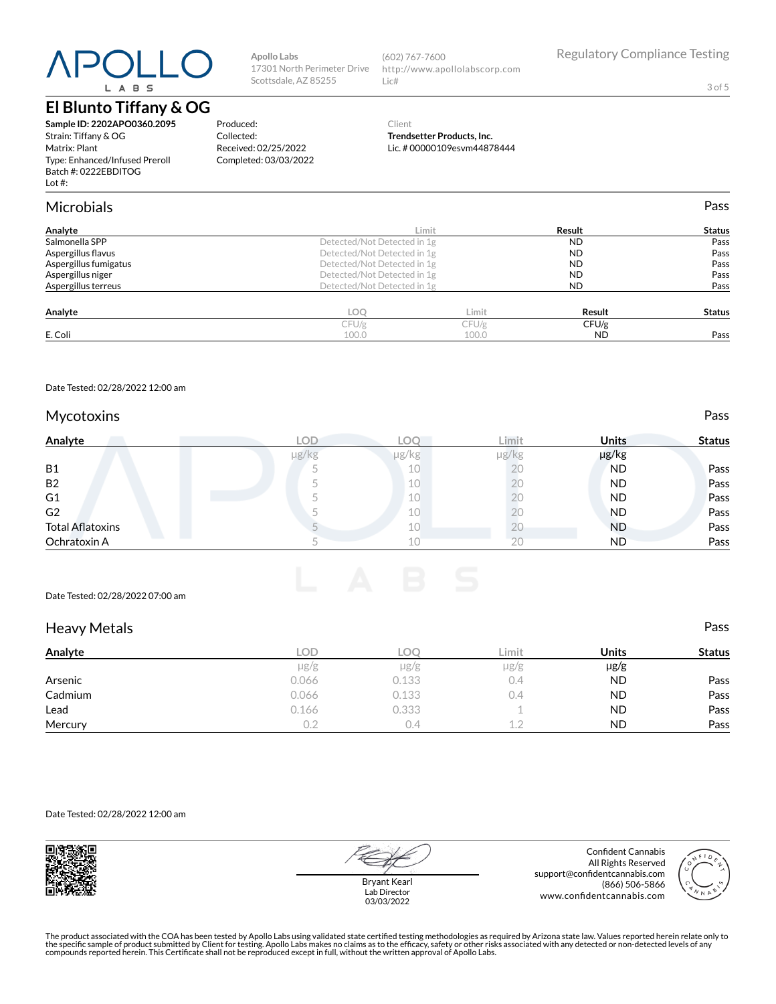# **El Blunto Tiffany & OG**

**Sample ID: 2202APO0360.2095** Strain: Tiffany & OG Matrix: Plant Type: Enhanced/Infused Preroll Batch #: 0222EBDITOG Lot #:

**Apollo Labs** 17301 North Perimeter Drive Scottsdale, AZ 85255

Produced: Collected:

Received: 02/25/2022 Completed: 03/03/2022

(602) 767-7600 http://www.apollolabscorp.com Lic#

3 of 5

#### Client **Trendsetter Products, Inc.** Lic. # 00000109esvm44878444

|       |       |                                                                                                                                                                  | Pass          |
|-------|-------|------------------------------------------------------------------------------------------------------------------------------------------------------------------|---------------|
|       |       | Result                                                                                                                                                           | <b>Status</b> |
|       |       | <b>ND</b>                                                                                                                                                        | Pass          |
|       |       | <b>ND</b>                                                                                                                                                        | Pass          |
|       |       | <b>ND</b>                                                                                                                                                        | Pass          |
|       |       | <b>ND</b>                                                                                                                                                        | Pass          |
|       |       | <b>ND</b>                                                                                                                                                        | Pass          |
| LOQ   | Limit | Result                                                                                                                                                           | <b>Status</b> |
| CFU/g | CFU/g | CFU/g                                                                                                                                                            |               |
| 100.0 | 100.0 | <b>ND</b>                                                                                                                                                        | Pass          |
|       |       | Limit<br>Detected/Not Detected in 1g<br>Detected/Not Detected in 1g<br>Detected/Not Detected in 1g<br>Detected/Not Detected in 1g<br>Detected/Not Detected in 1g |               |

Date Tested: 02/28/2022 12:00 am

#### Mycotoxins **Pass**

| Analyte                 | LOD        | LOC   | Limit      | <b>Units</b> | <b>Status</b> |
|-------------------------|------------|-------|------------|--------------|---------------|
|                         | $\mu$ g/kg | µg/kg | $\mu$ g/kg | µg/kg        |               |
| <b>B1</b>               |            | 10    | ŽŪ         | <b>ND</b>    | Pass          |
| <b>B2</b>               |            | 10    |            | <b>ND</b>    | Pass          |
| G1                      |            | 10    | Λ.         | <b>ND</b>    | Pass          |
| G <sub>2</sub>          |            | 10    |            | <b>ND</b>    | Pass          |
| <b>Total Aflatoxins</b> |            | 10    | ΖU         | <b>ND</b>    | Pass          |
| Ochratoxin A            |            | 10    |            | <b>ND</b>    | Pass          |

#### Date Tested: 02/28/2022 07:00 am

| <b>Heavy Metals</b> |       |           |               |           | Pass          |
|---------------------|-------|-----------|---------------|-----------|---------------|
| Analyte             | LOD   | LOQ.      | Limit         | Units     | <b>Status</b> |
|                     | µg/g  | $\mu$ g/g | $\mu$ g/g     | $\mu$ g/g |               |
| Arsenic             | 0.066 | 0.133     | 0.4           | <b>ND</b> | Pass          |
| Cadmium             | 0.066 | 0.133     | $0.4^{\circ}$ | <b>ND</b> | Pass          |
| Lead                | 0.166 | 0.333     |               | <b>ND</b> | Pass          |
| Mercury             | 0.2   | 0.4       | 1.2           | <b>ND</b> | Pass          |

Date Tested: 02/28/2022 12:00 am



Bryant Kearl Lab Director 03/03/2022

Confident Cannabis All Rights Reserved support@confidentcannabis.com (866) 506-5866 www.confidentcannabis.com



The product associated with the COA has been tested by Apollo Labs using validated state certified testing methodologies as required by Arizona state law. Values reported herein relate only to<br>the specific sample of produc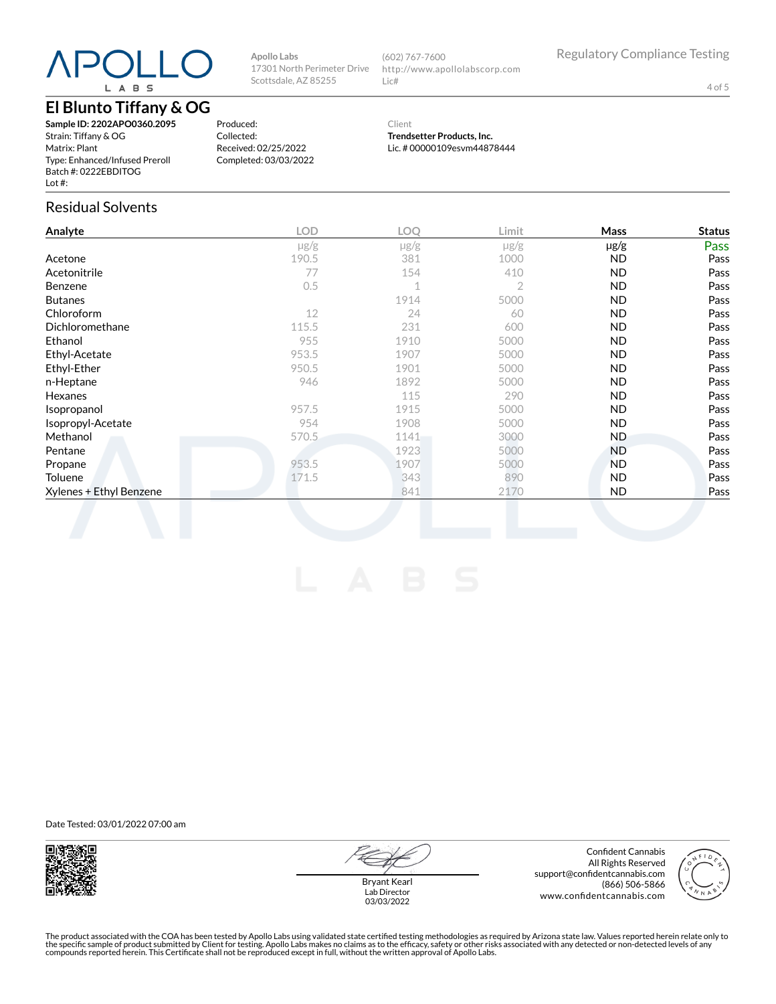# **El Blunto Tiffany & OG**

**Sample ID: 2202APO0360.2095** Strain: Tiffany & OG Matrix: Plant Type: Enhanced/Infused Preroll Batch #: 0222EBDITOG Lot #:

Produced: Collected: Received: 02/25/2022 Completed: 03/03/2022

**Apollo Labs**

17301 North Perimeter Drive Scottsdale, AZ 85255

> Client **Trendsetter Products, Inc.**

http://www.apollolabscorp.com

(602) 767-7600

Lic#

Lic. # 00000109esvm44878444

### Residual Solvents

| Analyte                 | LOD       | LOO       | Limit          | Mass      | <b>Status</b> |
|-------------------------|-----------|-----------|----------------|-----------|---------------|
|                         | $\mu$ g/g | $\mu$ g/g | $\mu$ g/g      | $\mu$ g/g | Pass          |
| Acetone                 | 190.5     | 381       | 1000           | <b>ND</b> | Pass          |
| Acetonitrile            | 77        | 154       | 410            | <b>ND</b> | Pass          |
| Benzene                 | 0.5       | 1         | $\overline{2}$ | <b>ND</b> | Pass          |
| <b>Butanes</b>          |           | 1914      | 5000           | <b>ND</b> | Pass          |
| Chloroform              | 12        | 24        | 60             | <b>ND</b> | Pass          |
| Dichloromethane         | 115.5     | 231       | 600            | <b>ND</b> | Pass          |
| Ethanol                 | 955       | 1910      | 5000           | <b>ND</b> | Pass          |
| Ethyl-Acetate           | 953.5     | 1907      | 5000           | <b>ND</b> | Pass          |
| Ethyl-Ether             | 950.5     | 1901      | 5000           | <b>ND</b> | Pass          |
| n-Heptane               | 946       | 1892      | 5000           | <b>ND</b> | Pass          |
| Hexanes                 |           | 115       | 290            | <b>ND</b> | Pass          |
| Isopropanol             | 957.5     | 1915      | 5000           | <b>ND</b> | Pass          |
| Isopropyl-Acetate       | 954       | 1908      | 5000           | <b>ND</b> | Pass          |
| Methanol                | 570.5     | 1141      | 3000           | ND.       | Pass          |
| Pentane                 |           | 1923      | 5000           | <b>ND</b> | Pass          |
| Propane                 | 953.5     | 1907      | 5000           | <b>ND</b> | Pass          |
| Toluene                 | 171.5     | 343       | 890            | <b>ND</b> | Pass          |
| Xylenes + Ethyl Benzene |           | 841       | 2170           | ND.       | Pass          |

Date Tested: 03/01/2022 07:00 am



Bryant Kearl Lab Director 03/03/2022

Confident Cannabis All Rights Reserved support@confidentcannabis.com (866) 506-5866 www.confidentcannabis.com



The product associated with the COA has been tested by Apollo Labs using validated state certified testing methodologies as required by Arizona state law. Values reported herein relate only to<br>the specific sample of produc

4 of 5